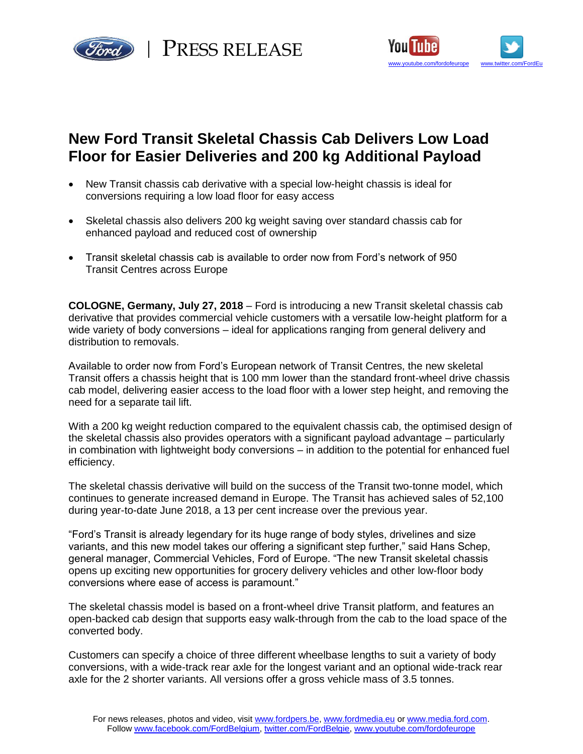



# **New Ford Transit Skeletal Chassis Cab Delivers Low Load Floor for Easier Deliveries and 200 kg Additional Payload**

- New Transit chassis cab derivative with a special low-height chassis is ideal for conversions requiring a low load floor for easy access
- Skeletal chassis also delivers 200 kg weight saving over standard chassis cab for enhanced payload and reduced cost of ownership
- Transit skeletal chassis cab is available to order now from Ford's network of 950 Transit Centres across Europe

**COLOGNE, Germany, July 27, 2018** – Ford is introducing a new Transit skeletal chassis cab derivative that provides commercial vehicle customers with a versatile low-height platform for a wide variety of body conversions – ideal for applications ranging from general delivery and distribution to removals.

Available to order now from Ford's European network of Transit Centres, the new skeletal Transit offers a chassis height that is 100 mm lower than the standard front-wheel drive chassis cab model, delivering easier access to the load floor with a lower step height, and removing the need for a separate tail lift.

With a 200 kg weight reduction compared to the equivalent chassis cab, the optimised design of the skeletal chassis also provides operators with a significant payload advantage – particularly in combination with lightweight body conversions – in addition to the potential for enhanced fuel efficiency.

The skeletal chassis derivative will build on the success of the Transit two-tonne model, which continues to generate increased demand in Europe. The Transit has achieved sales of 52,100 during year-to-date June 2018, a 13 per cent increase over the previous year.

"Ford's Transit is already legendary for its huge range of body styles, drivelines and size variants, and this new model takes our offering a significant step further," said Hans Schep, general manager, Commercial Vehicles, Ford of Europe. "The new Transit skeletal chassis opens up exciting new opportunities for grocery delivery vehicles and other low-floor body conversions where ease of access is paramount."

The skeletal chassis model is based on a front-wheel drive Transit platform, and features an open-backed cab design that supports easy walk-through from the cab to the load space of the converted body.

Customers can specify a choice of three different wheelbase lengths to suit a variety of body conversions, with a wide-track rear axle for the longest variant and an optional wide-track rear axle for the 2 shorter variants. All versions offer a gross vehicle mass of 3.5 tonnes.